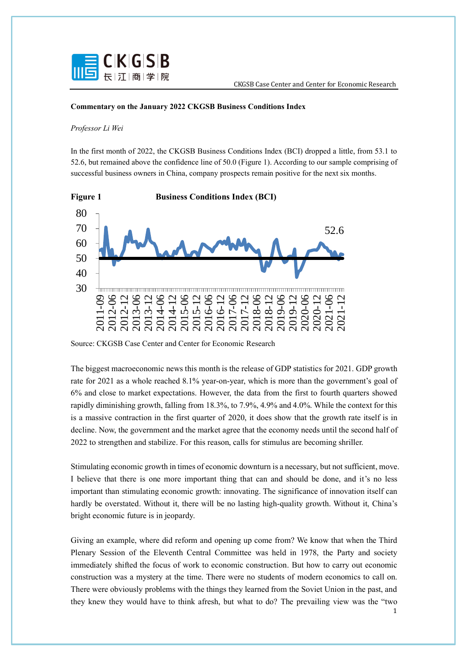

## **Commentary on the January 2022 CKGSB Business Conditions Index**

## *Professor Li Wei*

In the first month of 2022, the CKGSB Business Conditions Index (BCI) dropped a little, from 53.1 to 52.6, but remained above the confidence line of 50.0 (Figure 1). According to our sample comprising of successful business owners in China, company prospects remain positive for the next six months.



Source: CKGSB Case Center and Center for Economic Research

The biggest macroeconomic news this month is the release of GDP statistics for 2021. GDP growth rate for 2021 as a whole reached 8.1% year-on-year, which is more than the government's goal of 6% and close to market expectations. However, the data from the first to fourth quarters showed rapidly diminishing growth, falling from 18.3%, to 7.9%, 4.9% and 4.0%. While the context for this is a massive contraction in the first quarter of 2020, it does show that the growth rate itself is in decline. Now, the government and the market agree that the economy needs until the second half of 2022 to strengthen and stabilize. For this reason, calls for stimulus are becoming shriller.

Stimulating economic growth in times of economic downturn is a necessary, but not sufficient, move. I believe that there is one more important thing that can and should be done, and it's no less important than stimulating economic growth: innovating. The significance of innovation itself can hardly be overstated. Without it, there will be no lasting high-quality growth. Without it, China's bright economic future is in jeopardy.

Giving an example, where did reform and opening up come from? We know that when the Third Plenary Session of the Eleventh Central Committee was held in 1978, the Party and society immediately shifted the focus of work to economic construction. But how to carry out economic construction was a mystery at the time. There were no students of modern economics to call on. There were obviously problems with the things they learned from the Soviet Union in the past, and they knew they would have to think afresh, but what to do? The prevailing view was the "two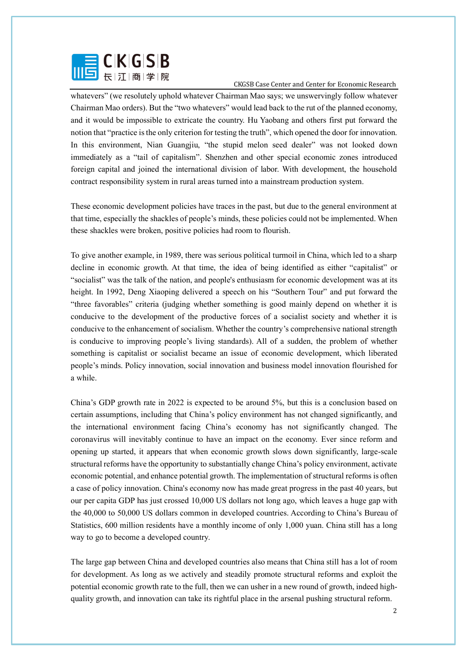

whatevers" (we resolutely uphold whatever Chairman Mao says; we unswervingly follow whatever Chairman Mao orders). But the "two whatevers" would lead back to the rut of the planned economy, and it would be impossible to extricate the country. Hu Yaobang and others first put forward the notion that "practice is the only criterion for testing the truth", which opened the door for innovation. In this environment, Nian Guangjiu, "the stupid melon seed dealer" was not looked down immediately as a "tail of capitalism". Shenzhen and other special economic zones introduced foreign capital and joined the international division of labor. With development, the household contract responsibility system in rural areas turned into a mainstream production system.

These economic development policies have traces in the past, but due to the general environment at that time, especially the shackles of people's minds, these policies could not be implemented. When these shackles were broken, positive policies had room to flourish.

To give another example, in 1989, there was serious political turmoil in China, which led to a sharp decline in economic growth. At that time, the idea of being identified as either "capitalist" or "socialist" was the talk of the nation, and people's enthusiasm for economic development was at its height. In 1992, Deng Xiaoping delivered a speech on his "Southern Tour" and put forward the "three favorables" criteria (judging whether something is good mainly depend on whether it is conducive to the development of the productive forces of a socialist society and whether it is conducive to the enhancement of socialism. Whether the country's comprehensive national strength is conducive to improving people's living standards). All of a sudden, the problem of whether something is capitalist or socialist became an issue of economic development, which liberated people's minds. Policy innovation, social innovation and business model innovation flourished for a while.

China's GDP growth rate in 2022 is expected to be around 5%, but this is a conclusion based on certain assumptions, including that China's policy environment has not changed significantly, and the international environment facing China's economy has not significantly changed. The coronavirus will inevitably continue to have an impact on the economy. Ever since reform and opening up started, it appears that when economic growth slows down significantly, large-scale structural reforms have the opportunity to substantially change China's policy environment, activate economic potential, and enhance potential growth. The implementation of structural reforms is often a case of policy innovation. China's economy now has made great progress in the past 40 years, but our per capita GDP has just crossed 10,000 US dollars not long ago, which leaves a huge gap with the 40,000 to 50,000 US dollars common in developed countries. According to China's Bureau of Statistics, 600 million residents have a monthly income of only 1,000 yuan. China still has a long way to go to become a developed country.

The large gap between China and developed countries also means that China still has a lot of room for development. As long as we actively and steadily promote structural reforms and exploit the potential economic growth rate to the full, then we can usher in a new round of growth, indeed highquality growth, and innovation can take its rightful place in the arsenal pushing structural reform.